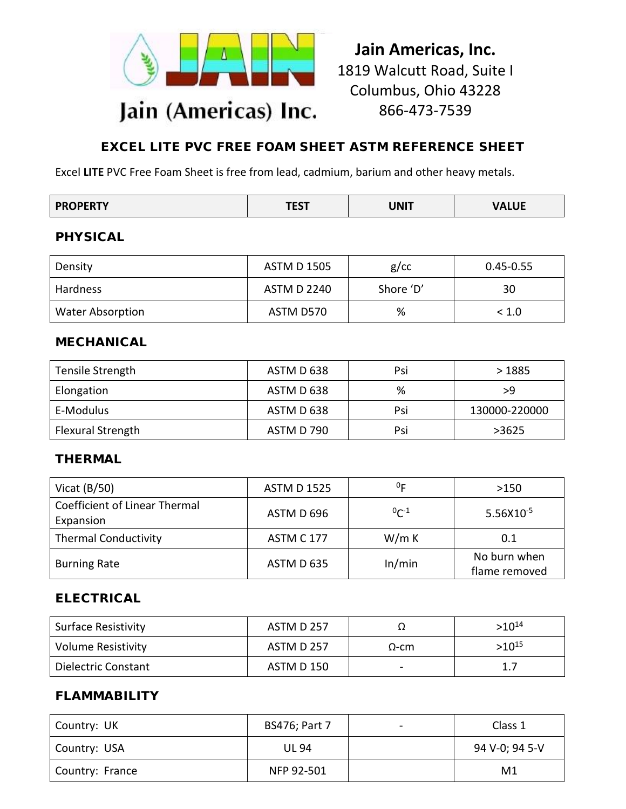

# **Jain Americas, Inc.** 1819 Walcutt Road, Suite I Columbus, Ohio 43228 866-473-7539

## EXCEL LITE PVC FREE FOAM SHEET ASTM REFERENCE SHEET

Excel **LITE** PVC Free Foam Sheet is free from lead, cadmium, barium and other heavy metals.

| <b>PROPERTY</b> | *ret |      |              |
|-----------------|------|------|--------------|
|                 | וכ∟ו | UNIT | <b>VALUE</b> |

## PHYSICAL

| Density                 | ASTM D 1505        | $g$ / $cc$ | $0.45 - 0.55$ |
|-------------------------|--------------------|------------|---------------|
| Hardness                | <b>ASTM D 2240</b> | Shore 'D'  | 30            |
| <b>Water Absorption</b> | ASTM D570          | %          | < 1.0         |

#### MECHANICAL

| Tensile Strength  | ASTM D 638 | Psi | >1885         |
|-------------------|------------|-----|---------------|
| Elongation        | ASTM D 638 | %   | >9            |
| E-Modulus         | ASTM D 638 | Psi | 130000-220000 |
| Flexural Strength | ASTM D 790 | Psi | >3625         |

#### THERMAL

| Vicat $(B/50)$                                    | <b>ASTM D 1525</b> | 0 <sub>F</sub> | >150                          |
|---------------------------------------------------|--------------------|----------------|-------------------------------|
| <b>Coefficient of Linear Thermal</b><br>Expansion | ASTM D 696         | $^{0}C^{-1}$   | $5.56X10^{-5}$                |
| <b>Thermal Conductivity</b>                       | <b>ASTM C 177</b>  | W/m K          | 0.1                           |
| <b>Burning Rate</b>                               | ASTM D 635         | In/min         | No burn when<br>flame removed |

## ELECTRICAL

| <b>Surface Resistivity</b> | ASTM D 257 |              | $>10^{14}$ |
|----------------------------|------------|--------------|------------|
| Volume Resistivity         | ASTM D 257 | $\Omega$ -cm | $>10^{15}$ |
| Dielectric Constant        | ASTM D 150 |              | 1.7        |

#### FLAMMABILITY

| Country: UK     | <b>BS476; Part 7</b> | Class 1        |
|-----------------|----------------------|----------------|
| Country: USA    | <b>UL 94</b>         | 94 V-0; 94 5-V |
| Country: France | NFP 92-501           | M <sub>1</sub> |